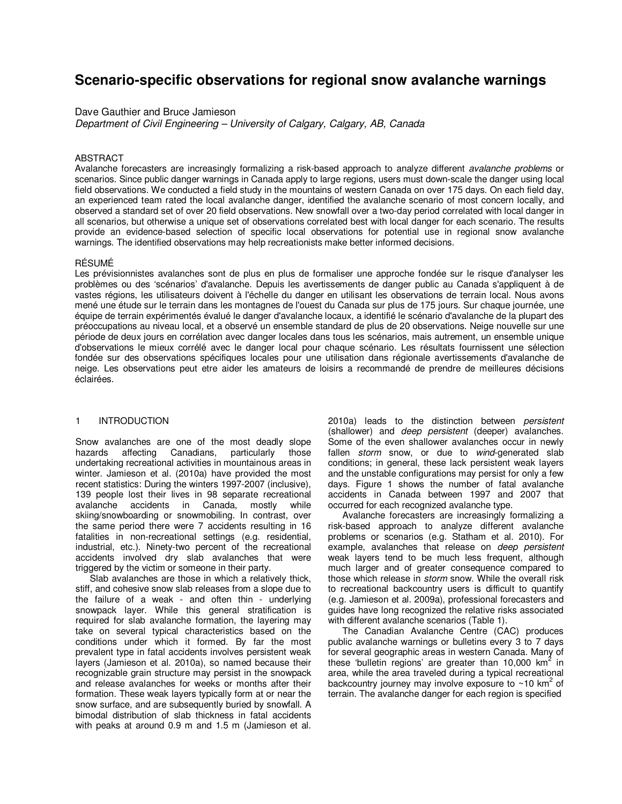# **Scenario-specific observations for regional snow avalanche warnings**

# Dave Gauthier and Bruce Jamieson

*Department of Civil Engineering – University of Calgary, Calgary, AB, Canada* 

### ABSTRACT

Avalanche forecasters are increasingly formalizing a risk-based approach to analyze different *avalanche problems* or scenarios. Since public danger warnings in Canada apply to large regions, users must down-scale the danger using local field observations. We conducted a field study in the mountains of western Canada on over 175 days. On each field day, an experienced team rated the local avalanche danger, identified the avalanche scenario of most concern locally, and observed a standard set of over 20 field observations. New snowfall over a two-day period correlated with local danger in all scenarios, but otherwise a unique set of observations correlated best with local danger for each scenario. The results provide an evidence-based selection of specific local observations for potential use in regional snow avalanche warnings. The identified observations may help recreationists make better informed decisions.

# RÉSUMÉ

Les prévisionnistes avalanches sont de plus en plus de formaliser une approche fondée sur le risque d'analyser les problèmes ou des 'scénarios' d'avalanche. Depuis les avertissements de danger public au Canada s'appliquent à de vastes régions, les utilisateurs doivent à l'échelle du danger en utilisant les observations de terrain local. Nous avons mené une étude sur le terrain dans les montagnes de l'ouest du Canada sur plus de 175 jours. Sur chaque journée, une équipe de terrain expérimentés évalué le danger d'avalanche locaux, a identifié le scénario d'avalanche de la plupart des préoccupations au niveau local, et a observé un ensemble standard de plus de 20 observations. Neige nouvelle sur une période de deux jours en corrélation avec danger locales dans tous les scénarios, mais autrement, un ensemble unique d'observations le mieux corrélé avec le danger local pour chaque scénario. Les résultats fournissent une sélection fondée sur des observations spécifiques locales pour une utilisation dans régionale avertissements d'avalanche de neige. Les observations peut etre aider les amateurs de loisirs a recommandé de prendre de meilleures décisions éclairées.

#### 1 INTRODUCTION

Snow avalanches are one of the most deadly slope hazards affecting Canadians, particularly those undertaking recreational activities in mountainous areas in winter. Jamieson et al. (2010a) have provided the most recent statistics: During the winters 1997-2007 (inclusive), 139 people lost their lives in 98 separate recreational avalanche accidents in Canada, mostly while skiing/snowboarding or snowmobiling. In contrast, over the same period there were 7 accidents resulting in 16 fatalities in non-recreational settings (e.g. residential, industrial, etc.). Ninety-two percent of the recreational accidents involved dry slab avalanches that were triggered by the victim or someone in their party.

Slab avalanches are those in which a relatively thick, stiff, and cohesive snow slab releases from a slope due to the failure of a weak - and often thin - underlying snowpack layer. While this general stratification is required for slab avalanche formation, the layering may take on several typical characteristics based on the conditions under which it formed. By far the most prevalent type in fatal accidents involves persistent weak layers (Jamieson et al. 2010a), so named because their recognizable grain structure may persist in the snowpack and release avalanches for weeks or months after their formation. These weak layers typically form at or near the snow surface, and are subsequently buried by snowfall. A bimodal distribution of slab thickness in fatal accidents with peaks at around 0.9 m and 1.5 m (Jamieson et al.

2010a) leads to the distinction between *persistent*  (shallower) and *deep persistent* (deeper) avalanches. Some of the even shallower avalanches occur in newly fallen *storm* snow, or due to *wind*-generated slab conditions; in general, these lack persistent weak layers and the unstable configurations may persist for only a few days. Figure 1 shows the number of fatal avalanche accidents in Canada between 1997 and 2007 that occurred for each recognized avalanche type.

Avalanche forecasters are increasingly formalizing a risk-based approach to analyze different avalanche problems or scenarios (e.g. Statham et al. 2010). For example, avalanches that release on *deep persistent* weak layers tend to be much less frequent, although much larger and of greater consequence compared to those which release in *storm* snow. While the overall risk to recreational backcountry users is difficult to quantify (e.g. Jamieson et al. 2009a), professional forecasters and guides have long recognized the relative risks associated with different avalanche scenarios (Table 1).

The Canadian Avalanche Centre (CAC) produces public avalanche warnings or bulletins every 3 to 7 days for several geographic areas in western Canada. Many of these 'bulletin regions' are greater than 10,000 km<sup>2</sup> in area, while the area traveled during a typical recreational backcountry journey may involve exposure to  $\sim$ 10 km<sup>2</sup> of terrain. The avalanche danger for each region is specified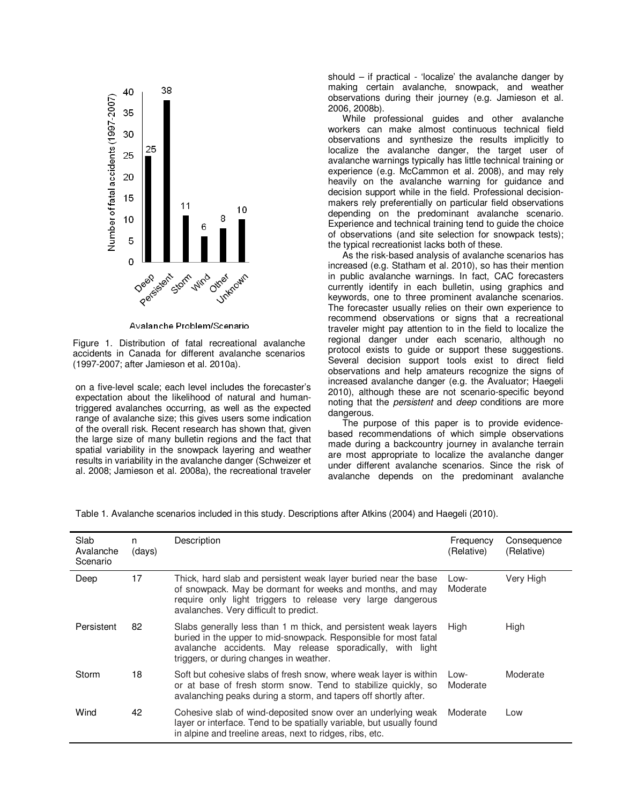

Avalanche Problem/Scenario

Figure 1. Distribution of fatal recreational avalanche accidents in Canada for different avalanche scenarios (1997-2007; after Jamieson et al. 2010a).

on a five-level scale; each level includes the forecaster's expectation about the likelihood of natural and humantriggered avalanches occurring, as well as the expected range of avalanche size; this gives users some indication of the overall risk. Recent research has shown that, given the large size of many bulletin regions and the fact that spatial variability in the snowpack layering and weather results in variability in the avalanche danger (Schweizer et al. 2008; Jamieson et al. 2008a), the recreational traveler

should  $-$  if practical - 'localize' the avalanche danger by making certain avalanche, snowpack, and weather observations during their journey (e.g. Jamieson et al. 2006, 2008b).

While professional guides and other avalanche workers can make almost continuous technical field observations and synthesize the results implicitly to localize the avalanche danger, the target user of avalanche warnings typically has little technical training or experience (e.g. McCammon et al. 2008), and may rely heavily on the avalanche warning for guidance and decision support while in the field. Professional decisionmakers rely preferentially on particular field observations depending on the predominant avalanche scenario. Experience and technical training tend to guide the choice of observations (and site selection for snowpack tests); the typical recreationist lacks both of these.

As the risk-based analysis of avalanche scenarios has increased (e.g. Statham et al. 2010), so has their mention in public avalanche warnings. In fact, CAC forecasters currently identify in each bulletin, using graphics and keywords, one to three prominent avalanche scenarios. The forecaster usually relies on their own experience to recommend observations or signs that a recreational traveler might pay attention to in the field to localize the regional danger under each scenario, although no protocol exists to guide or support these suggestions. Several decision support tools exist to direct field observations and help amateurs recognize the signs of increased avalanche danger (e.g. the Avaluator; Haegeli 2010), although these are not scenario-specific beyond noting that the *persistent* and *deep* conditions are more dangerous.

The purpose of this paper is to provide evidencebased recommendations of which simple observations made during a backcountry journey in avalanche terrain are most appropriate to localize the avalanche danger under different avalanche scenarios. Since the risk of avalanche depends on the predominant avalanche

Table 1. Avalanche scenarios included in this study. Descriptions after Atkins (2004) and Haegeli (2010).

| Slab<br>Avalanche<br>Scenario | n<br>(days) | Description                                                                                                                                                                                                                                | Frequency<br>(Relative) | Consequence<br>(Relative) |
|-------------------------------|-------------|--------------------------------------------------------------------------------------------------------------------------------------------------------------------------------------------------------------------------------------------|-------------------------|---------------------------|
| Deep                          | 17          | Thick, hard slab and persistent weak layer buried near the base<br>of snowpack. May be dormant for weeks and months, and may<br>require only light triggers to release very large dangerous<br>avalanches. Very difficult to predict.      | Low-<br>Moderate        | Very High                 |
| Persistent                    | 82          | Slabs generally less than 1 m thick, and persistent weak layers<br>buried in the upper to mid-snowpack. Responsible for most fatal<br>avalanche accidents. May release sporadically, with light<br>triggers, or during changes in weather. | High                    | High                      |
| Storm                         | 18          | Soft but cohesive slabs of fresh snow, where weak layer is within<br>or at base of fresh storm snow. Tend to stabilize quickly, so<br>avalanching peaks during a storm, and tapers off shortly after.                                      | Low-<br>Moderate        | Moderate                  |
| Wind                          | 42          | Cohesive slab of wind-deposited snow over an underlying weak<br>layer or interface. Tend to be spatially variable, but usually found<br>in alpine and treeline areas, next to ridges, ribs, etc.                                           | Moderate                | Low                       |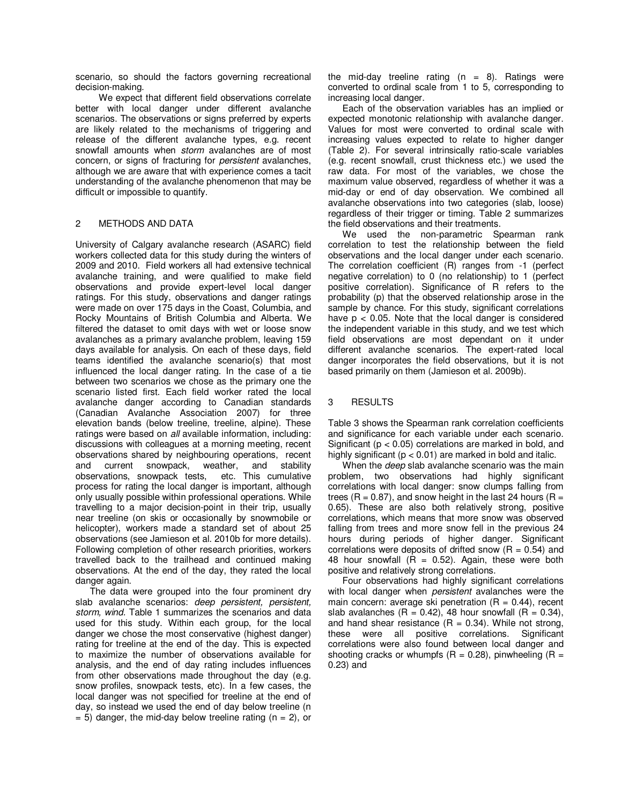scenario, so should the factors governing recreational decision-making.

We expect that different field observations correlate better with local danger under different avalanche scenarios. The observations or signs preferred by experts are likely related to the mechanisms of triggering and release of the different avalanche types, e.g. recent snowfall amounts when *storm* avalanches are of most concern, or signs of fracturing for *persistent* avalanches, although we are aware that with experience comes a tacit understanding of the avalanche phenomenon that may be difficult or impossible to quantify.

# 2 METHODS AND DATA

University of Calgary avalanche research (ASARC) field workers collected data for this study during the winters of 2009 and 2010. Field workers all had extensive technical avalanche training, and were qualified to make field observations and provide expert-level local danger ratings. For this study, observations and danger ratings were made on over 175 days in the Coast, Columbia, and Rocky Mountains of British Columbia and Alberta. We filtered the dataset to omit days with wet or loose snow avalanches as a primary avalanche problem, leaving 159 days available for analysis. On each of these days, field teams identified the avalanche scenario(s) that most influenced the local danger rating. In the case of a tie between two scenarios we chose as the primary one the scenario listed first. Each field worker rated the local avalanche danger according to Canadian standards (Canadian Avalanche Association 2007) for three elevation bands (below treeline, treeline, alpine). These ratings were based on *all* available information, including: discussions with colleagues at a morning meeting, recent observations shared by neighbouring operations, recent and current snowpack, weather, and stability observations, snowpack tests, etc. This cumulative process for rating the local danger is important, although only usually possible within professional operations. While travelling to a major decision-point in their trip, usually near treeline (on skis or occasionally by snowmobile or helicopter), workers made a standard set of about 25 observations (see Jamieson et al. 2010b for more details). Following completion of other research priorities, workers travelled back to the trailhead and continued making observations. At the end of the day, they rated the local danger again.

The data were grouped into the four prominent dry slab avalanche scenarios: *deep persistent, persistent, storm, wind.* Table 1 summarizes the scenarios and data used for this study. Within each group, for the local danger we chose the most conservative (highest danger) rating for treeline at the end of the day. This is expected to maximize the number of observations available for analysis, and the end of day rating includes influences from other observations made throughout the day (e.g. snow profiles, snowpack tests, etc). In a few cases, the local danger was not specified for treeline at the end of day, so instead we used the end of day below treeline (n  $= 5$ ) danger, the mid-day below treeline rating (n  $= 2$ ), or

the mid-day treeline rating  $(n = 8)$ . Ratings were converted to ordinal scale from 1 to 5, corresponding to increasing local danger.

Each of the observation variables has an implied or expected monotonic relationship with avalanche danger. Values for most were converted to ordinal scale with increasing values expected to relate to higher danger (Table 2). For several intrinsically ratio-scale variables (e.g. recent snowfall, crust thickness etc.) we used the raw data. For most of the variables, we chose the maximum value observed, regardless of whether it was a mid-day or end of day observation. We combined all avalanche observations into two categories (slab, loose) regardless of their trigger or timing. Table 2 summarizes the field observations and their treatments.

We used the non-parametric Spearman rank correlation to test the relationship between the field observations and the local danger under each scenario. The correlation coefficient (R) ranges from -1 (perfect negative correlation) to 0 (no relationship) to 1 (perfect positive correlation). Significance of R refers to the probability (p) that the observed relationship arose in the sample by chance. For this study, significant correlations have  $p < 0.05$ . Note that the local danger is considered the independent variable in this study, and we test which field observations are most dependant on it under different avalanche scenarios. The expert-rated local danger incorporates the field observations, but it is not based primarily on them (Jamieson et al. 2009b).

# 3 RESULTS

Table 3 shows the Spearman rank correlation coefficients and significance for each variable under each scenario. Significant (p < 0.05) correlations are marked in bold, and highly significant ( $p < 0.01$ ) are marked in bold and italic.

When the *deep* slab avalanche scenario was the main problem, two observations had highly significant correlations with local danger: snow clumps falling from trees ( $R = 0.87$ ), and snow height in the last 24 hours ( $R =$ 0.65). These are also both relatively strong, positive correlations, which means that more snow was observed falling from trees and more snow fell in the previous 24 hours during periods of higher danger. Significant correlations were deposits of drifted snow  $(R = 0.54)$  and 48 hour snowfall  $(R = 0.52)$ . Again, these were both positive and relatively strong correlations.

Four observations had highly significant correlations with local danger when *persistent* avalanches were the main concern: average ski penetration  $(R = 0.44)$ , recent slab avalanches  $(R = 0.42)$ , 48 hour snowfall  $(R = 0.34)$ , and hand shear resistance  $(R = 0.34)$ . While not strong, these were all positive correlations. Significant correlations were also found between local danger and shooting cracks or whumpfs  $(R = 0.28)$ , pinwheeling  $(R = 1.28)$ 0.23) and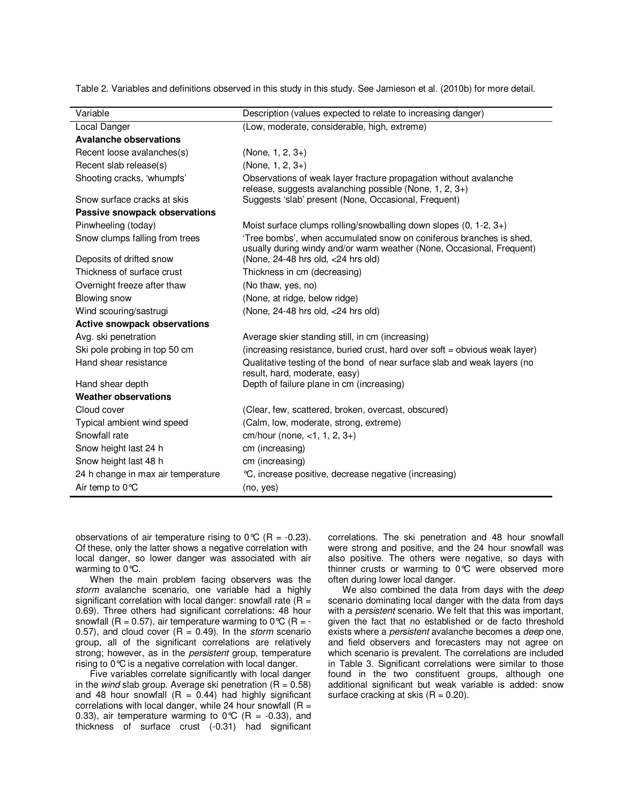Table 2. Variables and definitions observed in this study in this study. See Jamieson et al. (2010b) for more detail.

| Variable                            | Description (values expected to relate to increasing danger)                                                                                 |  |  |  |  |  |  |
|-------------------------------------|----------------------------------------------------------------------------------------------------------------------------------------------|--|--|--|--|--|--|
| Local Danger                        | (Low, moderate, considerable, high, extreme)                                                                                                 |  |  |  |  |  |  |
| <b>Avalanche observations</b>       |                                                                                                                                              |  |  |  |  |  |  |
| Recent loose avalanches(s)          | $(None, 1, 2, 3+)$                                                                                                                           |  |  |  |  |  |  |
| Recent slab release(s)              | (None, 1, 2, 3+)                                                                                                                             |  |  |  |  |  |  |
| Shooting cracks, 'whumpfs'          | Observations of weak layer fracture propagation without avalanche<br>release, suggests avalanching possible (None, 1, 2, 3+)                 |  |  |  |  |  |  |
| Snow surface cracks at skis         | Suggests 'slab' present (None, Occasional, Frequent)                                                                                         |  |  |  |  |  |  |
| Passive snowpack observations       |                                                                                                                                              |  |  |  |  |  |  |
| Pinwheeling (today)                 | Moist surface clumps rolling/snowballing down slopes $(0, 1-2, 3+)$                                                                          |  |  |  |  |  |  |
| Snow clumps falling from trees      | 'Tree bombs', when accumulated snow on coniferous branches is shed.<br>usually during windy and/or warm weather (None, Occasional, Frequent) |  |  |  |  |  |  |
| Deposits of drifted snow            | (None, 24-48 hrs old, <24 hrs old)                                                                                                           |  |  |  |  |  |  |
| Thickness of surface crust          | Thickness in cm (decreasing)                                                                                                                 |  |  |  |  |  |  |
| Overnight freeze after thaw         | (No thaw, yes, no)                                                                                                                           |  |  |  |  |  |  |
| Blowing snow                        | (None, at ridge, below ridge)                                                                                                                |  |  |  |  |  |  |
| Wind scouring/sastrugi              | (None, 24-48 hrs old, <24 hrs old)                                                                                                           |  |  |  |  |  |  |
| <b>Active snowpack observations</b> |                                                                                                                                              |  |  |  |  |  |  |
| Avg. ski penetration                | Average skier standing still, in cm (increasing)                                                                                             |  |  |  |  |  |  |
| Ski pole probing in top 50 cm       | (increasing resistance, buried crust, hard over soft = obvious weak layer)                                                                   |  |  |  |  |  |  |
| Hand shear resistance               | Qualitative testing of the bond of near surface slab and weak layers (no<br>result, hard, moderate, easy)                                    |  |  |  |  |  |  |
| Hand shear depth                    | Depth of failure plane in cm (increasing)                                                                                                    |  |  |  |  |  |  |
| <b>Weather observations</b>         |                                                                                                                                              |  |  |  |  |  |  |
| Cloud cover                         | (Clear, few, scattered, broken, overcast, obscured)                                                                                          |  |  |  |  |  |  |
| Typical ambient wind speed          | (Calm, low, moderate, strong, extreme)                                                                                                       |  |  |  |  |  |  |
| Snowfall rate                       | cm/hour (none, $<$ 1, 1, 2, 3+)                                                                                                              |  |  |  |  |  |  |
| Snow height last 24 h               | cm (increasing)                                                                                                                              |  |  |  |  |  |  |
| Snow height last 48 h               | cm (increasing)                                                                                                                              |  |  |  |  |  |  |
| 24 h change in max air temperature  | °C, increase positive, decrease negative (increasing)                                                                                        |  |  |  |  |  |  |
| Air temp to $0^{\circ}C$            | (no, yes)                                                                                                                                    |  |  |  |  |  |  |

observations of air temperature rising to  $0^{\circ}C$  (R = -0.23). Of these, only the latter shows a negative correlation with local danger, so lower danger was associated with air warming to 0°C.

When the main problem facing observers was the *storm* avalanche scenario, one variable had a highly significant correlation with local danger: snowfall rate  $(R =$ 0.69). Three others had significant correlations: 48 hour snowfall (R = 0.57), air temperature warming to  $0^{\circ}C$  (R = -0.57), and cloud cover (R = 0.49). In the *storm* scenario group, all of the significant correlations are relatively strong; however, as in the *persistent* group, temperature rising to 0°C is a negative correlation with local danger.

Five variables correlate significantly with local danger in the *wind* slab group. Average ski penetration (R = 0.58) and 48 hour snowfall  $(R = 0.44)$  had highly significant correlations with local danger, while 24 hour snowfall  $(R =$ 0.33), air temperature warming to  $0^{\circ}C$  (R = -0.33), and thickness of surface crust (-0.31) had significant

correlations. The ski penetration and 48 hour snowfall were strong and positive, and the 24 hour snowfall was also positive. The others were negative, so days with thinner crusts or warming to 0°C were observed more often during lower local danger.

We also combined the data from days with the *deep* scenario dominating local danger with the data from days with a *persistent* scenario. We felt that this was important, given the fact that no established or de facto threshold exists where a *persistent* avalanche becomes a *deep* one, and field observers and forecasters may not agree on which scenario is prevalent. The correlations are included in Table 3. Significant correlations were similar to those found in the two constituent groups, although one additional significant but weak variable is added: snow surface cracking at skis  $(R = 0.20)$ .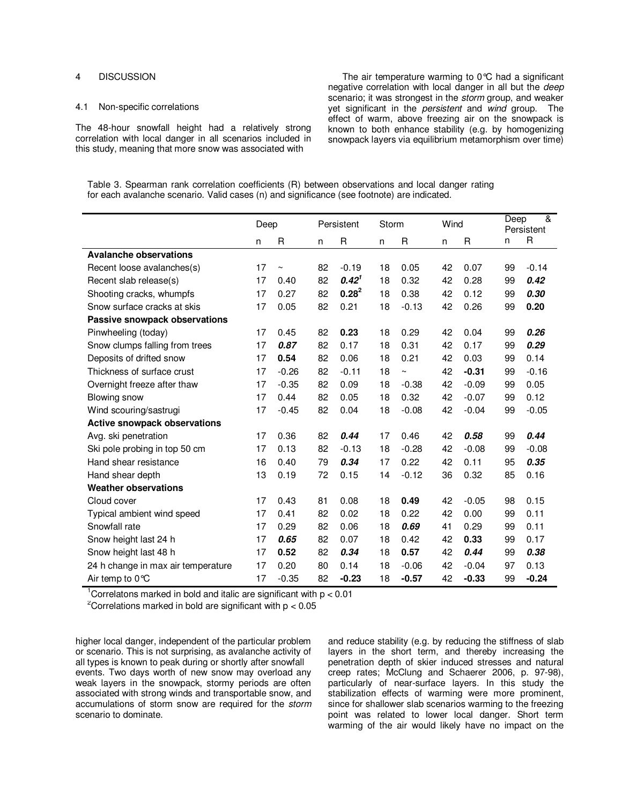#### 4 DISCUSSION

#### 4.1 Non-specific correlations

The 48-hour snowfall height had a relatively strong correlation with local danger in all scenarios included in this study, meaning that more snow was associated with

The air temperature warming to  $0^{\circ}C$  had a significant negative correlation with local danger in all but the *deep* scenario; it was strongest in the *storm* group, and weaker yet significant in the *persistent* and *wind* group. The effect of warm, above freezing air on the snowpack is known to both enhance stability (e.g. by homogenizing snowpack layers via equilibrium metamorphism over time)

| Table 3. Spearman rank correlation coefficients (R) between observations and local danger rating |  |  |  |
|--------------------------------------------------------------------------------------------------|--|--|--|
| for each avalanche scenario. Valid cases (n) and significance (see footnote) are indicated.      |  |  |  |

|                                     | Deep |         | Persistent |            | Storm |             | Wind |         | &<br>Deep<br>Persistent |         |
|-------------------------------------|------|---------|------------|------------|-------|-------------|------|---------|-------------------------|---------|
|                                     | n    | R       | n          | R          | n     | R           | n    | R       | n                       | R       |
| <b>Avalanche observations</b>       |      |         |            |            |       |             |      |         |                         |         |
| Recent loose avalanches(s)          | 17   | $\sim$  | 82         | $-0.19$    | 18    | 0.05        | 42   | 0.07    | 99                      | $-0.14$ |
| Recent slab release(s)              | 17   | 0.40    | 82         | $0.42^{1}$ | 18    | 0.32        | 42   | 0.28    | 99                      | 0.42    |
| Shooting cracks, whumpfs            | 17   | 0.27    | 82         | $0.28^{2}$ | 18    | 0.38        | 42   | 0.12    | 99                      | 0.30    |
| Snow surface cracks at skis         | 17   | 0.05    | 82         | 0.21       | 18    | $-0.13$     | 42   | 0.26    | 99                      | 0.20    |
| Passive snowpack observations       |      |         |            |            |       |             |      |         |                         |         |
| Pinwheeling (today)                 | 17   | 0.45    | 82         | 0.23       | 18    | 0.29        | 42   | 0.04    | 99                      | 0.26    |
| Snow clumps falling from trees      | 17   | 0.87    | 82         | 0.17       | 18    | 0.31        | 42   | 0.17    | 99                      | 0.29    |
| Deposits of drifted snow            | 17   | 0.54    | 82         | 0.06       | 18    | 0.21        | 42   | 0.03    | 99                      | 0.14    |
| Thickness of surface crust          | 17   | $-0.26$ | 82         | $-0.11$    | 18    | $\thicksim$ | 42   | $-0.31$ | 99                      | $-0.16$ |
| Overnight freeze after thaw         | 17   | $-0.35$ | 82         | 0.09       | 18    | $-0.38$     | 42   | $-0.09$ | 99                      | 0.05    |
| Blowing snow                        | 17   | 0.44    | 82         | 0.05       | 18    | 0.32        | 42   | $-0.07$ | 99                      | 0.12    |
| Wind scouring/sastrugi              | 17   | $-0.45$ | 82         | 0.04       | 18    | $-0.08$     | 42   | $-0.04$ | 99                      | $-0.05$ |
| <b>Active snowpack observations</b> |      |         |            |            |       |             |      |         |                         |         |
| Avg. ski penetration                | 17   | 0.36    | 82         | 0.44       | 17    | 0.46        | 42   | 0.58    | 99                      | 0.44    |
| Ski pole probing in top 50 cm       | 17   | 0.13    | 82         | $-0.13$    | 18    | $-0.28$     | 42   | $-0.08$ | 99                      | $-0.08$ |
| Hand shear resistance               | 16   | 0.40    | 79         | 0.34       | 17    | 0.22        | 42   | 0.11    | 95                      | 0.35    |
| Hand shear depth                    |      | 0.19    | 72         | 0.15       | 14    | $-0.12$     | 36   | 0.32    | 85                      | 0.16    |
| <b>Weather observations</b>         |      |         |            |            |       |             |      |         |                         |         |
| Cloud cover                         | 17   | 0.43    | 81         | 0.08       | 18    | 0.49        | 42   | $-0.05$ | 98                      | 0.15    |
| Typical ambient wind speed          | 17   | 0.41    | 82         | 0.02       | 18    | 0.22        | 42   | 0.00    | 99                      | 0.11    |
| Snowfall rate                       |      | 0.29    | 82         | 0.06       | 18    | 0.69        | 41   | 0.29    | 99                      | 0.11    |
| Snow height last 24 h               |      | 0.65    | 82         | 0.07       | 18    | 0.42        | 42   | 0.33    | 99                      | 0.17    |
| Snow height last 48 h               |      | 0.52    | 82         | 0.34       | 18    | 0.57        | 42   | 0.44    | 99                      | 0.38    |
| 24 h change in max air temperature  |      | 0.20    | 80         | 0.14       | 18    | $-0.06$     | 42   | $-0.04$ | 97                      | 0.13    |
| Air temp to $0^{\circ}C$            |      | $-0.35$ | 82         | $-0.23$    | 18    | $-0.57$     | 42   | $-0.33$ | 99                      | $-0.24$ |

<sup>1</sup>Correlatons marked in bold and italic are significant with  $p < 0.01$ 

<sup>2</sup>Correlations marked in bold are significant with  $p < 0.05$ 

higher local danger, independent of the particular problem or scenario. This is not surprising, as avalanche activity of all types is known to peak during or shortly after snowfall events. Two days worth of new snow may overload any weak layers in the snowpack, stormy periods are often associated with strong winds and transportable snow, and accumulations of storm snow are required for the *storm* scenario to dominate.

and reduce stability (e.g. by reducing the stiffness of slab layers in the short term, and thereby increasing the penetration depth of skier induced stresses and natural creep rates; McClung and Schaerer 2006, p. 97-98), particularly of near-surface layers. In this study the stabilization effects of warming were more prominent, since for shallower slab scenarios warming to the freezing point was related to lower local danger. Short term warming of the air would likely have no impact on the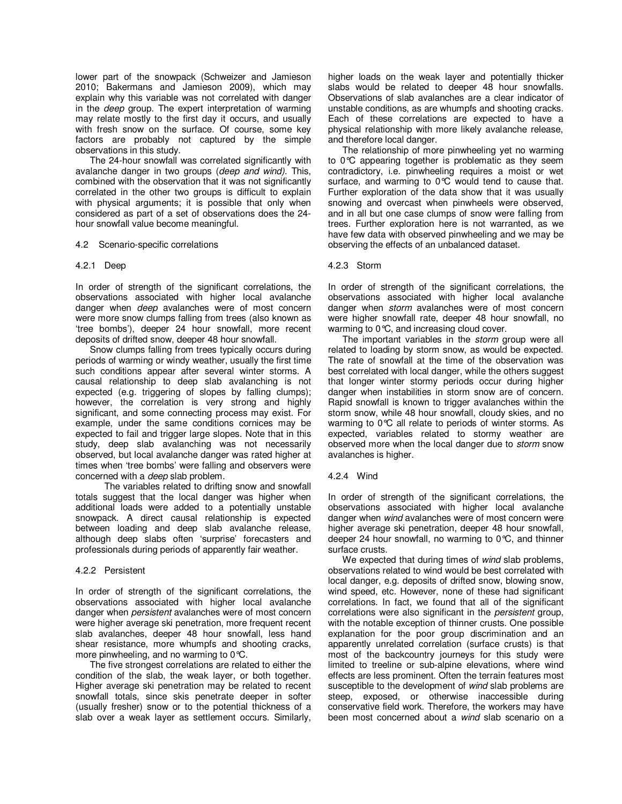lower part of the snowpack (Schweizer and Jamieson 2010; Bakermans and Jamieson 2009), which may explain why this variable was not correlated with danger in the *deep* group. The expert interpretation of warming may relate mostly to the first day it occurs, and usually with fresh snow on the surface. Of course, some key factors are probably not captured by the simple observations in this study.

The 24-hour snowfall was correlated significantly with avalanche danger in two groups (*deep and wind)*. This, combined with the observation that it was not significantly correlated in the other two groups is difficult to explain with physical arguments; it is possible that only when considered as part of a set of observations does the 24 hour snowfall value become meaningful.

#### 4.2 Scenario-specific correlations

#### 4.2.1 Deep

In order of strength of the significant correlations, the observations associated with higher local avalanche danger when *deep* avalanches were of most concern were more snow clumps falling from trees (also known as 'tree bombs'), deeper 24 hour snowfall, more recent deposits of drifted snow, deeper 48 hour snowfall.

Snow clumps falling from trees typically occurs during periods of warming or windy weather, usually the first time such conditions appear after several winter storms. A causal relationship to deep slab avalanching is not expected (e.g. triggering of slopes by falling clumps); however, the correlation is very strong and highly significant, and some connecting process may exist. For example, under the same conditions cornices may be expected to fail and trigger large slopes. Note that in this study, deep slab avalanching was not necessarily observed, but local avalanche danger was rated higher at times when 'tree bombs' were falling and observers were concerned with a *deep* slab problem.

The variables related to drifting snow and snowfall totals suggest that the local danger was higher when additional loads were added to a potentially unstable snowpack. A direct causal relationship is expected between loading and deep slab avalanche release, although deep slabs often 'surprise' forecasters and professionals during periods of apparently fair weather.

#### 4.2.2 Persistent

In order of strength of the significant correlations, the observations associated with higher local avalanche danger when *persistent* avalanches were of most concern were higher average ski penetration, more frequent recent slab avalanches, deeper 48 hour snowfall, less hand shear resistance, more whumpfs and shooting cracks, more pinwheeling, and no warming to 0°C.

The five strongest correlations are related to either the condition of the slab, the weak layer, or both together. Higher average ski penetration may be related to recent snowfall totals, since skis penetrate deeper in softer (usually fresher) snow or to the potential thickness of a slab over a weak layer as settlement occurs. Similarly,

higher loads on the weak layer and potentially thicker slabs would be related to deeper 48 hour snowfalls. Observations of slab avalanches are a clear indicator of unstable conditions, as are whumpfs and shooting cracks. Each of these correlations are expected to have a physical relationship with more likely avalanche release, and therefore local danger.

The relationship of more pinwheeling yet no warming to 0°C appearing together is problematic as they seem contradictory, i.e. pinwheeling requires a moist or wet surface, and warming to 0°C would tend to cause that. Further exploration of the data show that it was usually snowing and overcast when pinwheels were observed, and in all but one case clumps of snow were falling from trees. Further exploration here is not warranted, as we have few data with observed pinwheeling and we may be observing the effects of an unbalanced dataset.

#### 4.2.3 Storm

In order of strength of the significant correlations, the observations associated with higher local avalanche danger when *storm* avalanches were of most concern were higher snowfall rate, deeper 48 hour snowfall, no warming to 0°C, and increasing cloud cover.

The important variables in the *storm* group were all related to loading by storm snow, as would be expected. The rate of snowfall at the time of the observation was best correlated with local danger, while the others suggest that longer winter stormy periods occur during higher danger when instabilities in storm snow are of concern. Rapid snowfall is known to trigger avalanches within the storm snow, while 48 hour snowfall, cloudy skies, and no warming to 0°C all relate to periods of winter storms. As expected, variables related to stormy weather are observed more when the local danger due to *storm* snow avalanches is higher.

#### 4.2.4 Wind

In order of strength of the significant correlations, the observations associated with higher local avalanche danger when *wind* avalanches were of most concern were higher average ski penetration, deeper 48 hour snowfall, deeper 24 hour snowfall, no warming to 0°C, and thinner surface crusts.

We expected that during times of *wind* slab problems, observations related to wind would be best correlated with local danger, e.g. deposits of drifted snow, blowing snow, wind speed, etc. However, none of these had significant correlations. In fact, we found that all of the significant correlations were also significant in the *persistent* group, with the notable exception of thinner crusts. One possible explanation for the poor group discrimination and an apparently unrelated correlation (surface crusts) is that most of the backcountry journeys for this study were limited to treeline or sub-alpine elevations, where wind effects are less prominent. Often the terrain features most susceptible to the development of *wind* slab problems are steep, exposed, or otherwise inaccessible during conservative field work. Therefore, the workers may have been most concerned about a *wind* slab scenario on a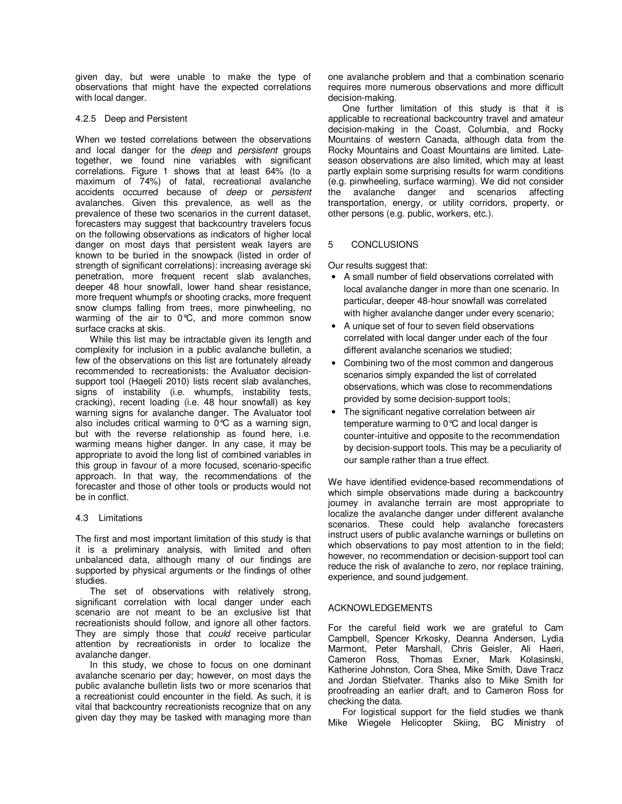given day, but were unable to make the type of observations that might have the expected correlations with local danger.

## 4.2.5 Deep and Persistent

When we tested correlations between the observations and local danger for the *deep* and *persistent* groups together, we found nine variables with significant correlations. Figure 1 shows that at least 64% (to a maximum of 74%) of fatal, recreational avalanche accidents occurred because of *deep* or *persistent* avalanches. Given this prevalence, as well as the prevalence of these two scenarios in the current dataset, forecasters may suggest that backcountry travelers focus on the following observations as indicators of higher local danger on most days that persistent weak layers are known to be buried in the snowpack (listed in order of strength of significant correlations): increasing average ski penetration, more frequent recent slab avalanches, deeper 48 hour snowfall, lower hand shear resistance, more frequent whumpfs or shooting cracks, more frequent snow clumps falling from trees, more pinwheeling, no warming of the air to 0°C, and more common snow surface cracks at skis.

While this list may be intractable given its length and complexity for inclusion in a public avalanche bulletin, a few of the observations on this list are fortunately already recommended to recreationists: the Avaluator decisionsupport tool (Haegeli 2010) lists recent slab avalanches, signs of instability (i.e. whumpfs, instability tests, cracking), recent loading (i.e. 48 hour snowfall) as key warning signs for avalanche danger. The Avaluator tool also includes critical warming to 0°C as a warning sign, but with the reverse relationship as found here, i.e. warming means higher danger. In any case, it may be appropriate to avoid the long list of combined variables in this group in favour of a more focused, scenario-specific approach. In that way, the recommendations of the forecaster and those of other tools or products would not be in conflict.

#### 4.3 Limitations

The first and most important limitation of this study is that it is a preliminary analysis, with limited and often unbalanced data, although many of our findings are supported by physical arguments or the findings of other studies.

The set of observations with relatively strong, significant correlation with local danger under each scenario are not meant to be an exclusive list that recreationists should follow, and ignore all other factors. They are simply those that *could* receive particular attention by recreationists in order to localize the avalanche danger.

In this study, we chose to focus on one dominant avalanche scenario per day; however, on most days the public avalanche bulletin lists two or more scenarios that a recreationist could encounter in the field. As such, it is vital that backcountry recreationists recognize that on any given day they may be tasked with managing more than one avalanche problem and that a combination scenario requires more numerous observations and more difficult decision-making.

One further limitation of this study is that it is applicable to recreational backcountry travel and amateur decision-making in the Coast, Columbia, and Rocky Mountains of western Canada, although data from the Rocky Mountains and Coast Mountains are limited. Lateseason observations are also limited, which may at least partly explain some surprising results for warm conditions (e.g. pinwheeling, surface warming). We did not consider the avalanche danger and scenarios affecting transportation, energy, or utility corridors, property, or other persons (e.g. public, workers, etc.).

# 5 CONCLUSIONS

Our results suggest that:

- A small number of field observations correlated with local avalanche danger in more than one scenario. In particular, deeper 48-hour snowfall was correlated with higher avalanche danger under every scenario;
- A unique set of four to seven field observations correlated with local danger under each of the four different avalanche scenarios we studied;
- Combining two of the most common and dangerous scenarios simply expanded the list of correlated observations, which was close to recommendations provided by some decision-support tools;
- The significant negative correlation between air temperature warming to 0°C and local danger is counter-intuitive and opposite to the recommendation by decision-support tools. This may be a peculiarity of our sample rather than a true effect.

We have identified evidence-based recommendations of which simple observations made during a backcountry journey in avalanche terrain are most appropriate to localize the avalanche danger under different avalanche scenarios. These could help avalanche forecasters instruct users of public avalanche warnings or bulletins on which observations to pay most attention to in the field; however, no recommendation or decision-support tool can reduce the risk of avalanche to zero, nor replace training, experience, and sound judgement.

# ACKNOWLEDGEMENTS

For the careful field work we are grateful to Cam Campbell, Spencer Krkosky, Deanna Andersen, Lydia Marmont, Peter Marshall, Chris Geisler, Ali Haeri, Cameron Ross, Thomas Exner, Mark Kolasinski, Katherine Johnston, Cora Shea, Mike Smith, Dave Tracz and Jordan Stiefvater. Thanks also to Mike Smith for proofreading an earlier draft, and to Cameron Ross for checking the data.

For logistical support for the field studies we thank Mike Wiegele Helicopter Skiing, BC Ministry of